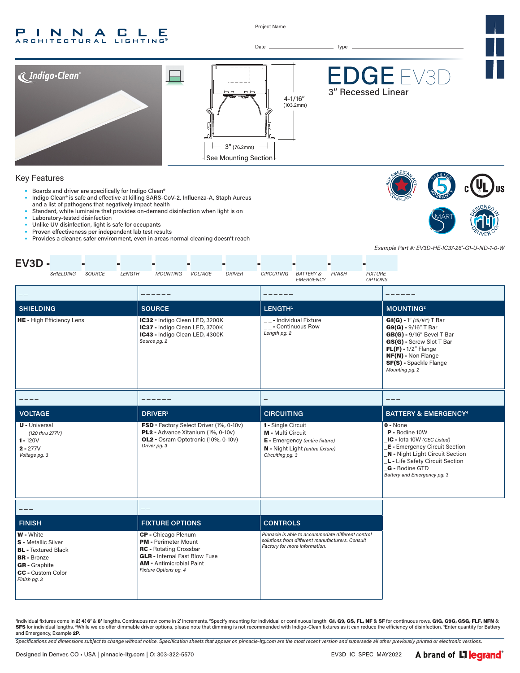#### P INNA  $\Box$ **C** Е **RCHITECTURAL LIGHTING®**

Project Name



#### Key Features

- Boards and driver are specifically for Indigo Clean®
- Indigo Clean® is safe and effective at killing SARS-CoV-2, Influenza-A, Staph Aureus and a list of pathogens that negatively impact health
- Standard, white luminaire that provides on-demand disinfection when light is on
- Laboratory-tested disinfection<br>• Unlike UV disinfection, light is
- Unlike UV disinfection, light is safe for occupants
- Proven effectiveness per independent lab test results
- Provides a cleaner, safer environment, even in areas normal cleaning doesn't reach

**EV3D - - - - - - - - - - -** -



*Example Part #: EV3D-HE-IC37-26'-G1-U-ND-1-0-W*

*FINISH FIXTURE* 

| LENGTH<br>SHIELDING<br>SOURCE                                                                                                                     | <b>MOUNTING</b><br><b>DRIVER</b><br>VOLTAGE                                                                                                                                             | <b>FIXTURE</b><br><b>CIRCUITING</b><br>BATTERY &<br><b>FINISH</b><br><b>OPTIONS</b><br><b>EMERGENCY</b>                               |                                                                                                                                                                                                                                  |
|---------------------------------------------------------------------------------------------------------------------------------------------------|-----------------------------------------------------------------------------------------------------------------------------------------------------------------------------------------|---------------------------------------------------------------------------------------------------------------------------------------|----------------------------------------------------------------------------------------------------------------------------------------------------------------------------------------------------------------------------------|
|                                                                                                                                                   |                                                                                                                                                                                         |                                                                                                                                       |                                                                                                                                                                                                                                  |
| <b>SHIELDING</b>                                                                                                                                  | <b>SOURCE</b>                                                                                                                                                                           | LENGTH <sup>1</sup>                                                                                                                   | <b>MOUNTING2</b>                                                                                                                                                                                                                 |
| <b>HE</b> - High Efficiency Lens                                                                                                                  | IC32 - Indigo Clean LED, 3200K<br>IC37 - Indigo Clean LED, 3700K<br>IC43 - Indigo Clean LED, 4300K<br>Source pg. 2                                                                      | __- Individual Fixture<br>$\overline{a}$ - Continuous Row<br>Length pg. 2                                                             | $G1(G) - 1''$ (15/16") T Bar<br>$G9(G) - 9/16''$ T Bar<br>$GB(G)$ - 9/16" Bevel T Bar<br>GS(G) - Screw Slot T Bar<br>$FL(F) - 1/2''$ Flange<br>NF(N) - Non Flange<br>SF(S) - Spackle Flange<br>Mounting pg. 2                    |
|                                                                                                                                                   |                                                                                                                                                                                         |                                                                                                                                       |                                                                                                                                                                                                                                  |
| <b>VOLTAGE</b>                                                                                                                                    | <b>DRIVER</b> <sup>3</sup>                                                                                                                                                              | <b>CIRCUITING</b>                                                                                                                     | <b>BATTERY &amp; EMERGENCY<sup>4</sup></b>                                                                                                                                                                                       |
| <b>U</b> - Universal<br>(120 thru 277V)<br>$1 - 120V$<br>$2 - 277V$<br>Voltage pg. 3                                                              | FSD - Factory Select Driver (1%, 0-10v)<br>PL2 - Advance Xitanium (1%, 0-10v)<br>OL2 - Osram Optotronic (10%, 0-10v)<br>Driver pg. 3                                                    | 1 - Single Circuit<br>M - Multi Circuit<br>E - Emergency (entire fixture)<br>N - Night Light (entire fixture)<br>Circuiting pg. 3     | $0 - None$<br>P - Bodine 10W<br>IC - lota 10W (CEC Listed)<br><b>E</b> - Emergency Circuit Section<br><b>N</b> - Night Light Circuit Section<br>L - Life Safety Circuit Section<br>G - Bodine GTD<br>Battery and Emergency pg. 3 |
|                                                                                                                                                   |                                                                                                                                                                                         |                                                                                                                                       |                                                                                                                                                                                                                                  |
| <b>FINISH</b>                                                                                                                                     | <b>FIXTURE OPTIONS</b>                                                                                                                                                                  | <b>CONTROLS</b>                                                                                                                       |                                                                                                                                                                                                                                  |
| W - White<br>S - Metallic Silver<br><b>BL</b> - Textured Black<br><b>BR</b> - Bronze<br><b>GR</b> - Graphite<br>CC - Custom Color<br>Finish pg. 3 | CP - Chicago Plenum<br><b>PM</b> - Perimeter Mount<br><b>RC</b> - Rotating Crossbar<br><b>GLR</b> - Internal Fast Blow Fuse<br><b>AM</b> - Antimicrobial Paint<br>Fixture Options pg. 4 | Pinnacle is able to accommodate different control<br>solutions from different manufacturers. Consult<br>Factory for more information. |                                                                                                                                                                                                                                  |

'Individual fixtures come in **2,′ 4; 6′ & 8′** lengths. Continuous row come in 2′ increments. <sup>z</sup>Specify mounting for individual or continuous length: **G1, G9, GS, FL, NF & SF** for continuous rows, **G1G, G9G, GSG, FLF, NF** 

*Specifications and dimensions subject to change without notice. Specification sheets that appear on pinnacle-ltg.com are the most recent version and supersede all other previously printed or electronic versions.*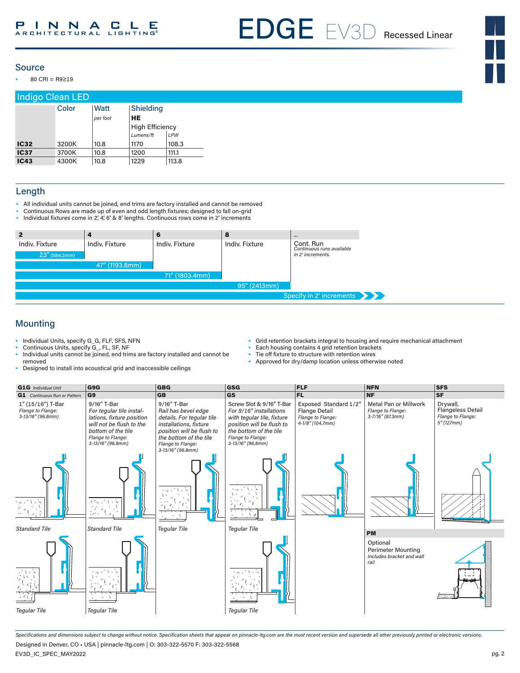EDGE EV3D Recessed Linear

#### Source

• 80 CRI = R9≥19

| <b>Indigo Clean LED</b> |       |          |                        |       |  |  |
|-------------------------|-------|----------|------------------------|-------|--|--|
|                         | Color | Watt     | Shielding              |       |  |  |
|                         |       | per foot | <b>HE</b>              |       |  |  |
|                         |       |          | <b>High Efficiency</b> |       |  |  |
|                         |       |          | Lumens/ft              | LPW   |  |  |
| <b>IC32</b>             | 3200K | 10.8     | 1170                   | 108.3 |  |  |
| <b>IC37</b>             | 3700K | 10.8     | 1200                   | 111.1 |  |  |
| <b>IC43</b>             | 4300K | 10.8     | 1229                   | 113.8 |  |  |

# Length

- All individual units cannot be joined, end trims are factory installed and cannot be removed
- Continuous Rows are made up of even and odd length fixtures; designed to fall on-grid • Individual fixtures come in  $2'$ ,  $4'$ , 6' & 8' lengths. Continuous rows come in 2' increments

| . | . | . | $\sim$ $\sim$ |
|---|---|---|---------------|

| -                |                |                | $\cdot$        |                                        |
|------------------|----------------|----------------|----------------|----------------------------------------|
| Indiv. Fixture   | Indiv. Fixture | Indiv. Fixture | Indiv. Fixture | Cont. Run<br>Continuous runs available |
| $23''$ (584.2mm) |                |                |                | in 2' increments.                      |
|                  | 47" (1193.8mm) |                |                |                                        |
|                  |                | 71" (1803.4mm) |                |                                        |
|                  |                |                | 95'' (2413mm)  |                                        |
|                  |                |                |                | Specify in 2' increments               |
|                  |                |                |                |                                        |

# **Mounting**

- Individual Units, specify G\_G, FLF, SFS, NFN
- Continuous Units, specify G<sub>\_</sub>, FL, SF, NF<br>• Individual units cannot be joined, end trin
- Individual units cannot be joined, end trims are factory installed and cannot be removed
- Designed to install into acoustical grid and inaccessible ceilings
- Grid retention brackets integral to housing and require mechanical attachment
- Each housing contains 4 grid retention brackets
- Tie off fixture to structure with retention wires<br>• Approved for dry/damp location upless other
- Approved for dry/damp location unless otherwise noted

| <b>G1G</b> Individual Unit                                  | G9G                                                                                                                                                              | GBG                                                                                                                                                                                        | <b>GSG</b>                                                                                                                                                                         | <b>FLF</b>                                                                             | <b>NFN</b>                                                                 | <b>SFS</b>                                                              |
|-------------------------------------------------------------|------------------------------------------------------------------------------------------------------------------------------------------------------------------|--------------------------------------------------------------------------------------------------------------------------------------------------------------------------------------------|------------------------------------------------------------------------------------------------------------------------------------------------------------------------------------|----------------------------------------------------------------------------------------|----------------------------------------------------------------------------|-------------------------------------------------------------------------|
| G1 Continuous Run or Pattern                                | G <sub>9</sub>                                                                                                                                                   | <b>GB</b>                                                                                                                                                                                  | <b>GS</b>                                                                                                                                                                          | FL.                                                                                    | <b>NF</b>                                                                  | <b>SF</b>                                                               |
| 1" (15/16") T-Bar<br>Flange to Flange:<br>3-13/16" (96.8mm) | 9/16" T-Bar<br>For tegular tile instal-<br>lations, fixture position<br>will not be flush to the<br>bottom of the tile<br>Flange to Flange:<br>3-13/16" (96.8mm) | 9/16" T-Bar<br>Rail has bevel edge<br>details. For tegular tile<br>installations, fixture<br>position will be flush to<br>the bottom of the tile<br>Flange to Flange:<br>3-13/16" (96.8mm) | Screw Slot & 9/16" T-Bar<br>For 9/16" installations<br>with tegular tile, fixture<br>position will be flush to<br>the bottom of the tile<br>Flange to Flange:<br>3-13/16" (96.8mm) | Exposed Standard 1/2"<br><b>Flange Detail</b><br>Flange to Flange:<br>4-1/8" (104.7mm) | <b>Metal Pan or Millwork</b><br>Flange to Flange:<br>3-7/16" (87.3mm)      | Drywall,<br><b>Flangeless Detail</b><br>Flange to Flange:<br>5''(127mm) |
| یک و کا شونو و                                              | バイアルト<br>، در:                                                                                                                                                   |                                                                                                                                                                                            | $1 - 1 - 1$                                                                                                                                                                        |                                                                                        |                                                                            |                                                                         |
| <b>Standard Tile</b>                                        | <b>Standard Tile</b>                                                                                                                                             | <b>Tegular Tile</b>                                                                                                                                                                        | <b>Tegular Tile</b>                                                                                                                                                                |                                                                                        | <b>PM</b>                                                                  |                                                                         |
| 휴일<br><b>Tegular Tile</b>                                   | $\sim$ $-1$<br><b>Tegular Tile</b>                                                                                                                               |                                                                                                                                                                                            | <b>Tegular Tile</b>                                                                                                                                                                |                                                                                        | Optional<br><b>Perimeter Mounting</b><br>Includes bracket and wall<br>rail |                                                                         |

*Specifications and dimensions subject to change without notice. Specification sheets that appear on pinnacle-ltg.com are the most recent version and supersede all other previously printed or electronic versions.* Designed in Denver, CO • USA | pinnacle-ltg.com | O: 303-322-5570 F: 303-322-5568

EV3D\_IC\_SPEC\_MAY2022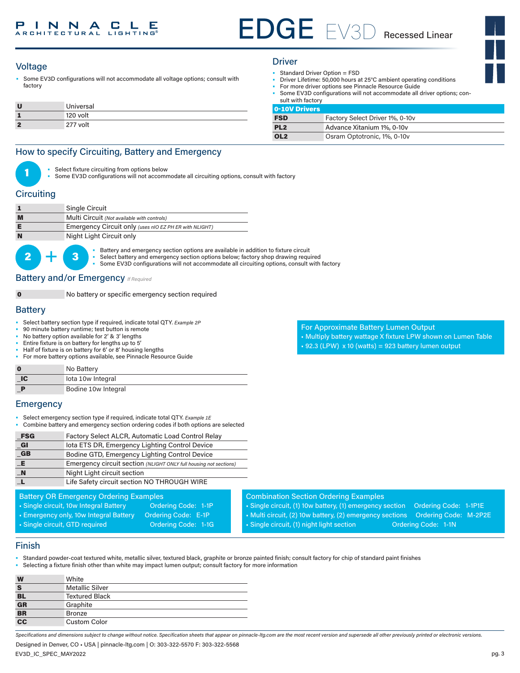# EDGE EV3D Recessed Linear

# Voltage Driver

• Some EV3D configurations will not accommodate all voltage options; consult with factory

| π | Universal |
|---|-----------|
|   | 120 volt  |
|   | 277 volt  |

# How to specify Circuiting, Battery and Emergency



Select fixture circuiting from options below

Some EV3D configurations will not accommodate all circuiting options, consult with factory

# **Circuiting**

|   | Single Circuit                                         |
|---|--------------------------------------------------------|
| M | Multi Circuit (Not available with controls)            |
|   | Emergency Circuit only (uses nIO EZ PH ER with NLIGHT) |
|   | Night Light Circuit only                               |



**3** • Battery and emergency section options are available in addition to fixture circuit<br>
• Select battery and emergency section options below; factory shop drawing requ Select battery and emergency section options below; factory shop drawing required • Some EV3D configurations will not accommodate all circuiting options, consult with factory

**Battery and/or Emergency** *If Required* 

0 No battery or specific emergency section required

#### **Battery**

- Select battery section type if required, indicate total QTY*. Example 2P*
- 90 minute battery runtime; test button is remote
- No battery option available for 2' & 3' lengths
- Entire fixture is on battery for lengths up to 5'
- Half of fixture is on battery for 6' or 8' housing lengths
- For more battery options available, see Pinnacle Resource Guide

| 0        | No Battery          |
|----------|---------------------|
| $\Box C$ | lota 10w Integral   |
|          | Bodine 10w Integral |

#### **Emergency**

• Select emergency section type if required, indicate total QTY. *Example 1E*

• Combine battery and emergency section ordering codes if both options are selected

| <b>FSG</b>           | Factory Select ALCR, Automatic Load Control Relay                 |
|----------------------|-------------------------------------------------------------------|
| $_{\blacksquare}$ Gl | lota ETS DR, Emergency Lighting Control Device                    |
| $G$ B                | Bodine GTD, Emergency Lighting Control Device                     |
| _E                   | Emergency circuit section (NLIGHT ONLY full housing not sections) |
| $\mathbb{N}$         | Night Light circuit section                                       |
|                      | Life Safety circuit section NO THROUGH WIRE                       |

#### Battery OR Emergency Ordering Examples

- Single circuit, 10w Integral Battery **Ordering Code: 1-1P**
- Emergency only, 10w Integral Battery Ordering Code: E-1P
- 
- Single circuit, GTD required **Ordering Code: 1-1G**
- Combination Section Ordering Examples
- Single circuit, (1) 10w battery, (1) emergency section Ordering Code: 1-1P1E
- Multi circuit, (2) 10w battery, (2) emergency sections Ordering Code: M-2P2E
- Single circuit, (1) night light section **Ordering Code: 1-1N**

#### Finish

- Standard powder-coat textured white, metallic silver, textured black, graphite or bronze painted finish; consult factory for chip of standard paint finishes
- Selecting a fixture finish other than white may impact lumen output; consult factory for more information

| W                         | White                  |
|---------------------------|------------------------|
| S                         | <b>Metallic Silver</b> |
| <b>BL</b>                 | <b>Textured Black</b>  |
| $\overline{\mathbf{G}}$ R | Graphite               |
| $\overline{\mathbf{BR}}$  | <b>Bronze</b>          |
| $\frac{1}{1}$             | <b>Custom Color</b>    |

*Specifications and dimensions subject to change without notice. Specification sheets that appear on pinnacle-ltg.com are the most recent version and supersede all other previously printed or electronic versions.*

Designed in Denver, CO • USA | pinnacle-ltg.com | O: 303-322-5570 F: 303-322-5568

For Approximate Battery Lumen Output

- Multiply battery wattage X fixture LPW shown on Lumen Table
- $\text{-}$  92.3 (LPW) x 10 (watts) = 923 battery lumen output

• Driver Lifetime: 50,000 hours at 25°C ambient operating conditions For more driver options see Pinnacle Resource Guide Some EV3D configurations will not accommodate all driver options; consult with factory 0-10V Drivers

Standard Driver Option = FSD

| I 0-10V Drivers |                                 |
|-----------------|---------------------------------|
| <b>FSD</b>      | Factory Select Driver 1%, 0-10y |
| PL <sub>2</sub> | Advance Xitanium 1%, 0-10y      |
| OL <sub>2</sub> | Osram Optotronic, 1%, 0-10y     |
|                 |                                 |